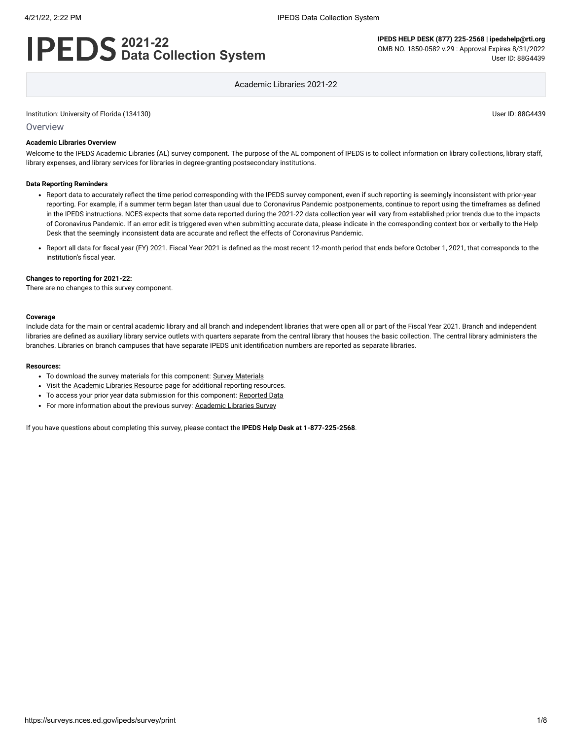# **2021-22 Data Collection System**

**IPEDS HELP DESK (877) 225-2568 | ipedshelp@rti.org** OMB NO. 1850-0582 v.29 : Approval Expires 8/31/2022 User ID: 88G4439

Academic Libraries 2021-22

#### Institution: University of Florida (134130) User ID: 88G4439

**Overview** 

#### **Academic Libraries Overview**

Welcome to the IPEDS Academic Libraries (AL) survey component. The purpose of the AL component of IPEDS is to collect information on library collections, library staff, library expenses, and library services for libraries in degree-granting postsecondary institutions.

#### **Data Reporting Reminders**

- Report data to accurately reflect the time period corresponding with the IPEDS survey component, even if such reporting is seemingly inconsistent with prior-year reporting. For example, if a summer term began later than usual due to Coronavirus Pandemic postponements, continue to report using the timeframes as defined in the IPEDS instructions. NCES expects that some data reported during the 2021-22 data collection year will vary from established prior trends due to the impacts of Coronavirus Pandemic. If an error edit is triggered even when submitting accurate data, please indicate in the corresponding context box or verbally to the Help Desk that the seemingly inconsistent data are accurate and reflect the effects of Coronavirus Pandemic.
- Report all data for fiscal year (FY) 2021. Fiscal Year 2021 is defined as the most recent 12-month period that ends before October 1, 2021, that corresponds to the institution's fiscal year.

#### **Changes to reporting for 2021-22:**

There are no changes to this survey component.

#### **Coverage**

Include data for the main or central academic library and all branch and independent libraries that were open all or part of the Fiscal Year 2021. Branch and independent libraries are defined as auxiliary library service outlets with quarters separate from the central library that houses the basic collection. The central library administers the branches. Libraries on branch campuses that have separate IPEDS unit identification numbers are reported as separate libraries.

#### **Resources:**

- To download the survey materials for this component: Survey [Materials](https://surveys.nces.ed.gov/ipeds/public/survey-materials/index)
- Visit the **[Academic](https://nces.ed.gov/ipeds/report-your-data/resource-center-academic-libraries) Libraries Resource** page for additional reporting resources.
- To access your prior year data submission for this component: [Reported Data](javascript:openReportedData(134130, 15))
- For more information about the previous survey: [Academic](https://nces.ed.gov/surveys/libraries/academic.asp) Libraries Survey

If you have questions about completing this survey, please contact the **IPEDS Help Desk at 1-877-225-2568**.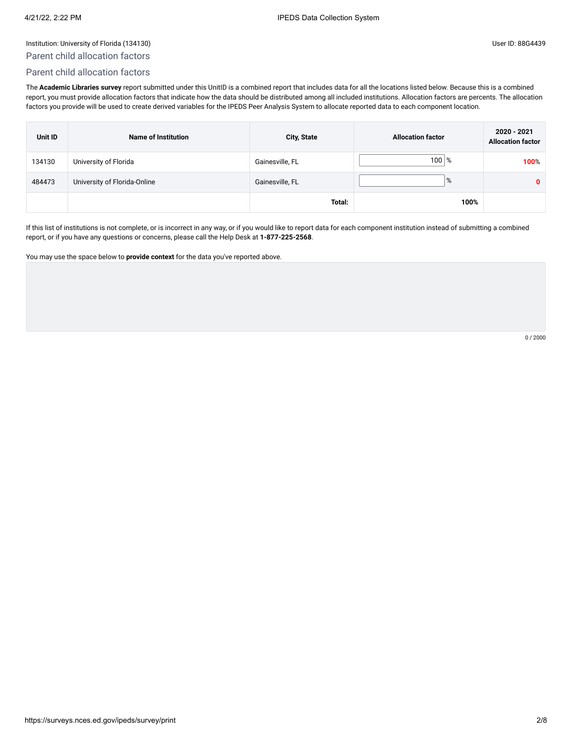# Parent child allocation factors

# Parent child allocation factors

The **Academic Libraries survey** report submitted under this UnitID is a combined report that includes data for all the locations listed below. Because this is a combined report, you must provide allocation factors that indicate how the data should be distributed among all included institutions. Allocation factors are percents. The allocation factors you provide will be used to create derived variables for the IPEDS Peer Analysis System to allocate reported data to each component location.

| Unit ID | <b>Name of Institution</b>   | <b>City, State</b> | <b>Allocation factor</b> | 2020 - 2021<br><b>Allocation factor</b> |
|---------|------------------------------|--------------------|--------------------------|-----------------------------------------|
| 134130  | University of Florida        | Gainesville, FL    | $100 \, \degree$         | 100%                                    |
| 484473  | University of Florida-Online | Gainesville, FL    | %                        | $\mathbf{0}$                            |
|         |                              | Total:             | 100%                     |                                         |

If this list of institutions is not complete, or is incorrect in any way, or if you would like to report data for each component institution instead of submitting a combined report, or if you have any questions or concerns, please call the Help Desk at **1-877-225-2568**.

You may use the space below to **provide context** for the data you've reported above.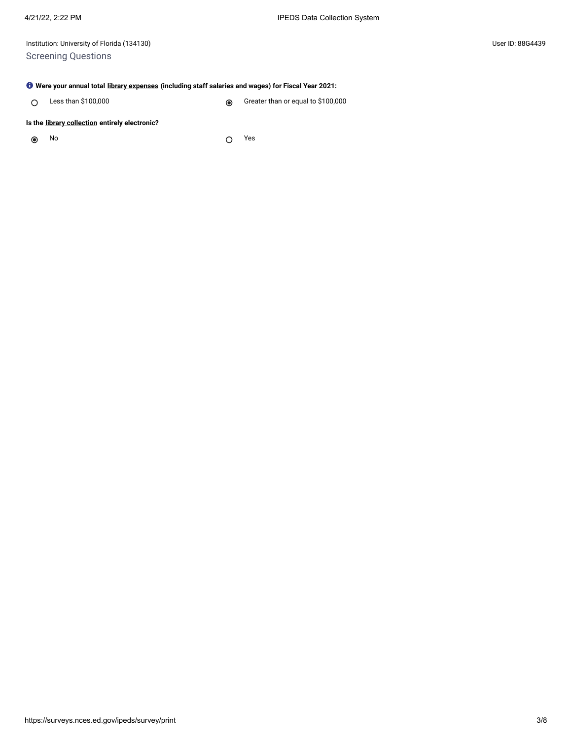Institution: University of Florida (134130) User ID: 88G4439 Screening Questions

### **Were your annual total [library expenses](javascript:openglossary(1040)) (including staff salaries and wages) for Fiscal Year 2021:**

Less than \$100,000 Creater than or equal to \$100,000  $\circ$ 

### **Is the [library collection](javascript:openglossary(932)) entirely electronic?**

 $\odot$ 

No Yes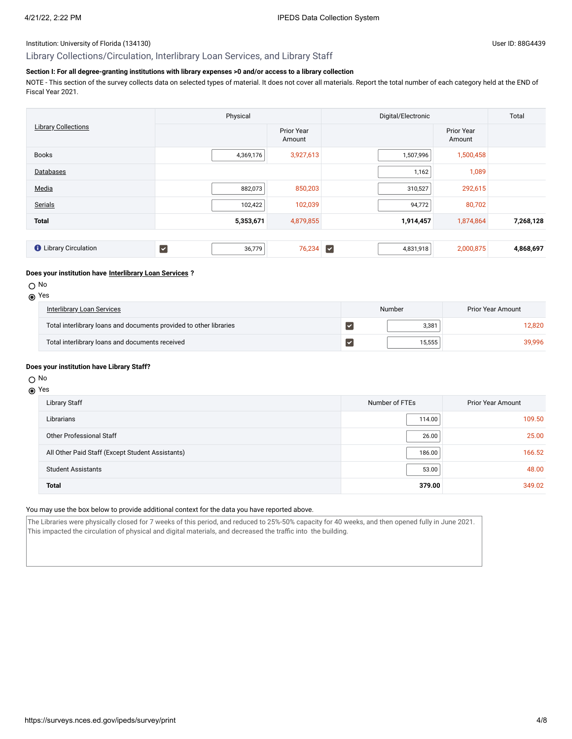# Library Collections/Circulation, Interlibrary Loan Services, and Library Staff

# **Section I: For all degree-granting institutions with library expenses >0 and/or access to a library collection**

NOTE - This section of the survey collects data on selected types of material. It does not cover all materials. Report the total number of each category held at the END of Fiscal Year 2021.

|                              | Physical                          |                      | Digital/Electronic                   | Total                       |           |
|------------------------------|-----------------------------------|----------------------|--------------------------------------|-----------------------------|-----------|
| <b>Library Collections</b>   |                                   | Prior Year<br>Amount |                                      | <b>Prior Year</b><br>Amount |           |
| <b>Books</b>                 | 4,369,176                         | 3,927,613            | 1,507,996                            | 1,500,458                   |           |
| Databases                    |                                   |                      | 1,162                                | 1,089                       |           |
| Media                        | 882,073                           | 850,203              | 310,527                              | 292,615                     |           |
| Serials                      | 102,422                           | 102,039              | 94,772                               | 80,702                      |           |
| <b>Total</b>                 | 5,353,671                         | 4,879,855            | 1,914,457                            | 1,874,864                   | 7,268,128 |
|                              |                                   |                      |                                      |                             |           |
| <b>O</b> Library Circulation | $\overline{\mathsf{v}}$<br>36,779 | 76,234               | $\overline{\mathbf{v}}$<br>4,831,918 | 2,000,875                   | 4,868,697 |

#### **Does your institution have [Interlibrary Loan Services](javascript:openglossary(1025)) ?**

O No

|--|--|

| <b>Interlibrary Loan Services</b>                                  | Number | Prior Year Amount |  |
|--------------------------------------------------------------------|--------|-------------------|--|
| Total interlibrary loans and documents provided to other libraries | 3.381  | 12.820            |  |
| Total interlibrary loans and documents received                    | 15.555 | 39.996            |  |

#### **Does your institution have Library Staff?**

### O No

# Yes

| Library Staff                                    | Number of FTEs | <b>Prior Year Amount</b> |
|--------------------------------------------------|----------------|--------------------------|
| Librarians                                       | 114.00         | 109.50                   |
| <b>Other Professional Staff</b>                  | 26.00          | 25.00                    |
| All Other Paid Staff (Except Student Assistants) | 186.00         | 166.52                   |
| <b>Student Assistants</b>                        | 53.00          | 48.00                    |
| <b>Total</b>                                     | 379.00         | 349.02                   |

## You may use the box below to provide additional context for the data you have reported above.

The Libraries were physically closed for 7 weeks of this period, and reduced to 25%-50% capacity for 40 weeks, and then opened fully in June 2021. This impacted the circulation of physical and digital materials, and decreased the traffic into the building.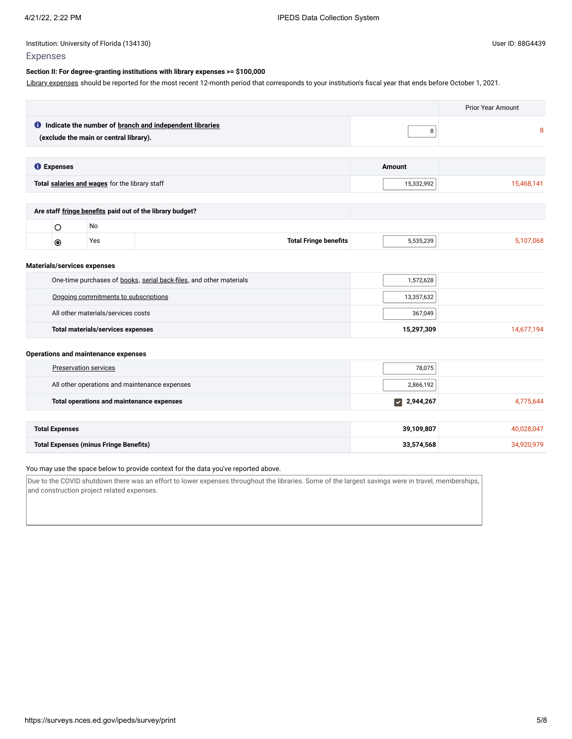# **Section II: For degree-granting institutions with library expenses >= \$100,000**

Library [expenses](javascript:openglossary(1040)) should be reported for the most recent 12-month period that corresponds to your institution's fiscal year that ends before October 1, 2021.

|                             |                                                                                                            |                                                |                                                                     | <b>Prior Year Amount</b>          |            |
|-----------------------------|------------------------------------------------------------------------------------------------------------|------------------------------------------------|---------------------------------------------------------------------|-----------------------------------|------------|
|                             | <b>O</b> Indicate the number of branch and independent libraries<br>(exclude the main or central library). |                                                |                                                                     | 8                                 | 8          |
| <b>O</b> Expenses           |                                                                                                            |                                                |                                                                     | Amount                            |            |
|                             |                                                                                                            | Total salaries and wages for the library staff |                                                                     | 15,332,992                        | 15,468,141 |
|                             |                                                                                                            |                                                | Are staff fringe benefits paid out of the library budget?           |                                   |            |
|                             | $\circ$                                                                                                    | No                                             |                                                                     |                                   |            |
|                             | $\circledcirc$                                                                                             | Yes                                            | <b>Total Fringe benefits</b>                                        | 5,535,239                         | 5,107,068  |
| Materials/services expenses |                                                                                                            |                                                |                                                                     |                                   |            |
|                             |                                                                                                            |                                                | One-time purchases of books, serial back-files, and other materials | 1,572,628                         |            |
|                             |                                                                                                            | Ongoing commitments to subscriptions           |                                                                     | 13,357,632                        |            |
|                             |                                                                                                            | All other materials/services costs             |                                                                     | 367,049                           |            |
|                             |                                                                                                            | <b>Total materials/services expenses</b>       |                                                                     | 15,297,309                        | 14,677,194 |
|                             |                                                                                                            | <b>Operations and maintenance expenses</b>     |                                                                     |                                   |            |
|                             | <b>Preservation services</b>                                                                               |                                                |                                                                     | 78,075                            |            |
|                             |                                                                                                            |                                                | All other operations and maintenance expenses                       | 2,866,192                         |            |
|                             |                                                                                                            | Total operations and maintenance expenses      |                                                                     | 2,944,267<br>$\blacktriangledown$ | 4,775,644  |
| <b>Total Expenses</b>       |                                                                                                            |                                                |                                                                     | 39,109,807                        | 40,028,047 |
|                             |                                                                                                            | <b>Total Expenses (minus Fringe Benefits)</b>  |                                                                     | 33,574,568                        | 34,920,979 |

# You may use the space below to provide context for the data you've reported above.

Due to the COVID shutdown there was an effort to lower expenses throughout the libraries. Some of the largest savings were in travel, memberships, and construction project related expenses.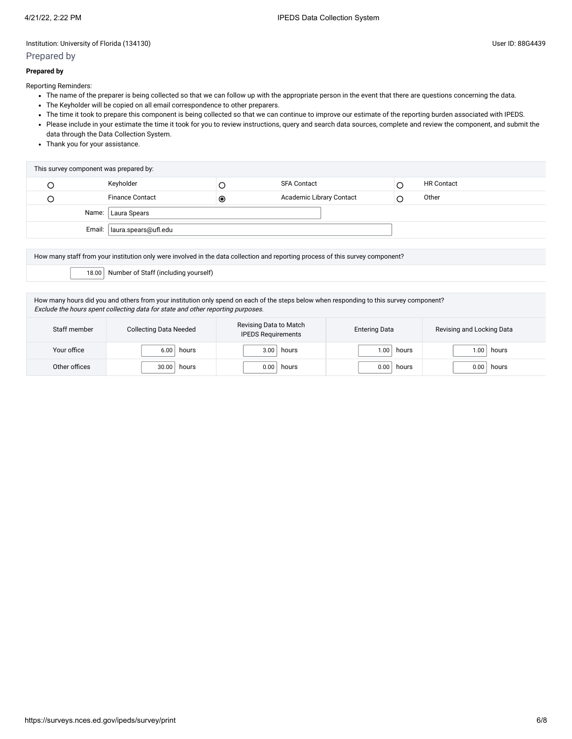# Prepared by

### **Prepared by**

Reporting Reminders:

- The name of the preparer is being collected so that we can follow up with the appropriate person in the event that there are questions concerning the data.
- The Keyholder will be copied on all email correspondence to other preparers.
- The time it took to prepare this component is being collected so that we can continue to improve our estimate of the reporting burden associated with IPEDS.
- Please include in your estimate the time it took for you to review instructions, query and search data sources, complete and review the component, and submit the data through the Data Collection System.
- Thank you for your assistance.

| This survey component was prepared by: |                        |           |                          |  |                   |  |
|----------------------------------------|------------------------|-----------|--------------------------|--|-------------------|--|
|                                        | Keyholder              |           | <b>SFA Contact</b>       |  | <b>HR Contact</b> |  |
|                                        | <b>Finance Contact</b> | $\bullet$ | Academic Library Contact |  | Other             |  |
| Name:   Laura Spears                   |                        |           |                          |  |                   |  |
| Email:   laura.spears@ufl.edu          |                        |           |                          |  |                   |  |

How many staff from your institution only were involved in the data collection and reporting process of this survey component?

18.00 Number of Staff (including yourself)

How many hours did you and others from your institution only spend on each of the steps below when responding to this survey component? Exclude the hours spent collecting data for state and other reporting purposes.

| Staff member  | <b>Collecting Data Needed</b> | Revising Data to Match<br><b>IPEDS Requirements</b> | <b>Entering Data</b> | Revising and Locking Data |
|---------------|-------------------------------|-----------------------------------------------------|----------------------|---------------------------|
| Your office   | 6.00                          | 3.00                                                | 1.00                 | hours                     |
|               | hours                         | hours                                               | hours                | .00 <sub>1</sub>          |
| Other offices | 30.00                         | 0.00                                                | 0.00                 | 0.00                      |
|               | hours                         | hours                                               | hours                | hours                     |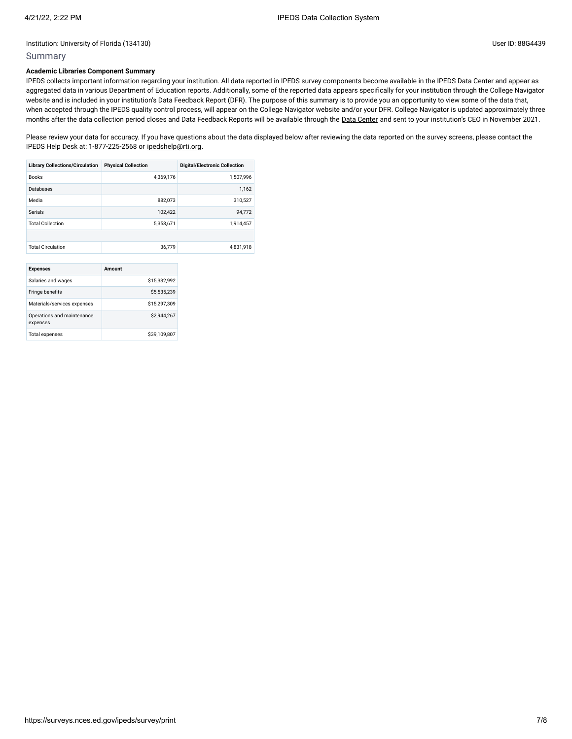## Summary

# **Academic Libraries Component Summary**

IPEDS collects important information regarding your institution. All data reported in IPEDS survey components become available in the IPEDS Data Center and appear as aggregated data in various Department of Education reports. Additionally, some of the reported data appears specifically for your institution through the College Navigator website and is included in your institution's Data Feedback Report (DFR). The purpose of this summary is to provide you an opportunity to view some of the data that, when accepted through the IPEDS quality control process, will appear on the College Navigator website and/or your DFR. College Navigator is updated approximately three months after the data collection period closes and Data Feedback Reports will be available through the Data [Center](https://nces.ed.gov/ipeds/use-the-data) and sent to your institution's CEO in November 2021.

Please review your data for accuracy. If you have questions about the data displayed below after reviewing the data reported on the survey screens, please contact the IPEDS Help Desk at: 1-877-225-2568 or [ipedshelp@rti.org.](mailto:ipedshelp@rti.org)

| <b>Library Collections/Circulation</b> | <b>Physical Collection</b> | <b>Digital/Electronic Collection</b> |
|----------------------------------------|----------------------------|--------------------------------------|
| <b>Books</b>                           | 4.369.176                  | 1,507,996                            |
| Databases                              |                            | 1,162                                |
| Media                                  | 882.073                    | 310,527                              |
| Serials                                | 102,422                    | 94,772                               |
| <b>Total Collection</b>                | 5,353,671                  | 1.914.457                            |
|                                        |                            |                                      |
| <b>Total Circulation</b>               | 36.779                     | 4,831,918                            |

| <b>Expenses</b>                        | Amount       |
|----------------------------------------|--------------|
| Salaries and wages                     | \$15,332,992 |
| Fringe benefits                        | \$5,535,239  |
| Materials/services expenses            | \$15,297,309 |
| Operations and maintenance<br>expenses | \$2,944.267  |
| <b>Total expenses</b>                  | \$39,109,807 |